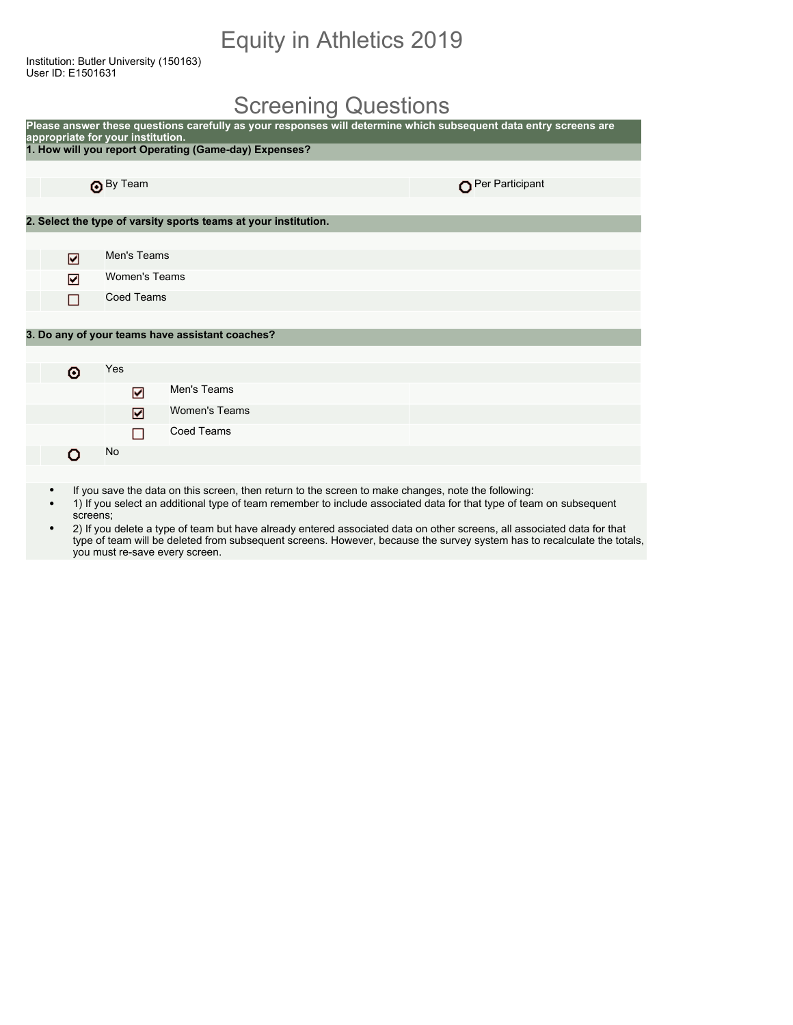## Equity in Athletics 2019

Institution: Butler University (150163) User ID: E1501631

## Screening Questions

|   | appropriate for your institution. | Please answer these questions carefully as your responses will determine which subsequent data entry screens are |                 |
|---|-----------------------------------|------------------------------------------------------------------------------------------------------------------|-----------------|
|   |                                   | 1. How will you report Operating (Game-day) Expenses?                                                            |                 |
|   |                                   |                                                                                                                  |                 |
|   | By Team                           |                                                                                                                  | Per Participant |
|   |                                   |                                                                                                                  |                 |
|   |                                   | 2. Select the type of varsity sports teams at your institution.                                                  |                 |
|   |                                   |                                                                                                                  |                 |
| ☑ | Men's Teams                       |                                                                                                                  |                 |
| ☑ | Women's Teams                     |                                                                                                                  |                 |
| П | <b>Coed Teams</b>                 |                                                                                                                  |                 |
|   |                                   |                                                                                                                  |                 |
|   |                                   | 3. Do any of your teams have assistant coaches?                                                                  |                 |
|   |                                   |                                                                                                                  |                 |
| ۰ | Yes                               |                                                                                                                  |                 |
|   | ☑                                 | Men's Teams                                                                                                      |                 |
|   | ☑                                 | <b>Women's Teams</b>                                                                                             |                 |
|   | П                                 | <b>Coed Teams</b>                                                                                                |                 |
| n | No                                |                                                                                                                  |                 |
|   |                                   |                                                                                                                  |                 |

- If you save the data on this screen, then return to the screen to make changes, note the following:
- 1) If you select an additional type of team remember to include associated data for that type of team on subsequent screens;
- 2) If you delete a type of team but have already entered associated data on other screens, all associated data for that type of team will be deleted from subsequent screens. However, because the survey system has to recalculate the totals, you must re-save every screen.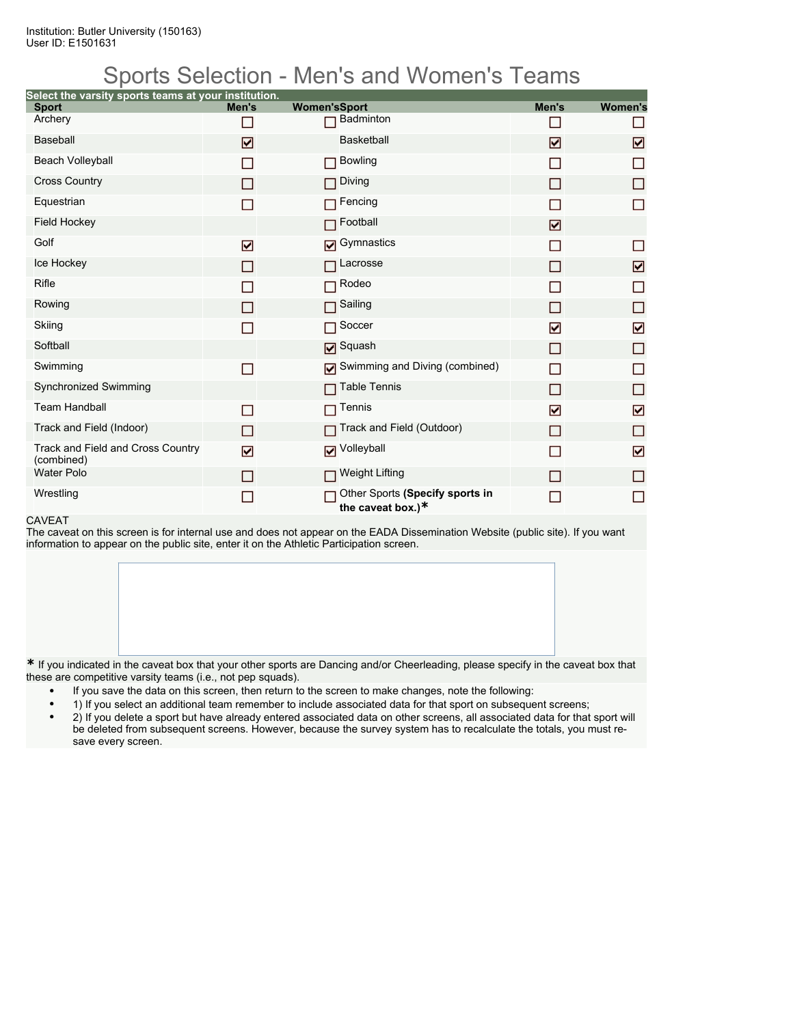## Sports Selection - Men's and Women's Teams

| Select the varsity sports teams at your institution. |       |                                                         |       |                |
|------------------------------------------------------|-------|---------------------------------------------------------|-------|----------------|
| <b>Sport</b><br>Archery                              | Men's | <b>Women'sSport</b><br>Badminton                        | Men's | <b>Women's</b> |
|                                                      | n     |                                                         |       |                |
| <b>Baseball</b>                                      | ⊡     | <b>Basketball</b>                                       | ☑     | ☑              |
| <b>Beach Volleyball</b>                              | П     | <b>Bowling</b><br>П                                     | □     | П              |
| <b>Cross Country</b>                                 | П     | Diving<br>П                                             | П     | П              |
| Equestrian                                           | П     | Fencing                                                 |       | П              |
| <b>Field Hockey</b>                                  |       | Football                                                | ☑     |                |
| Golf                                                 | ☑     | Gymnastics                                              | П     | □              |
| Ice Hockey                                           | П     | $\Box$ Lacrosse                                         | П     | ☑              |
| Rifle                                                | ▛     | Rodeo<br>П                                              |       | $\Box$         |
| Rowing                                               | П     | Sailing<br>П                                            | П     | □              |
| Skiing                                               | П     | Soccer<br>П                                             | ☑     | ☑              |
| Softball                                             |       | <b>Ø</b> Squash                                         | П     | □              |
| Swimming                                             | П     | Swimming and Diving (combined)                          | П     | □              |
| Synchronized Swimming                                |       | <b>Table Tennis</b><br>П                                | П     | □              |
| <b>Team Handball</b>                                 | П     | Tennis                                                  | ☑     | ☑              |
| Track and Field (Indoor)                             | П     | Track and Field (Outdoor)                               | П     | □              |
| Track and Field and Cross Country<br>(combined)      | ☑     | Volleyball                                              |       | ☑              |
| <b>Water Polo</b>                                    | П     | <b>Weight Lifting</b><br>П                              | П     | □              |
| Wrestling                                            | ▛     | Other Sports (Specify sports in<br>the caveat box.) $*$ |       | П              |

#### CAVEAT

The caveat on this screen is for internal use and does not appear on the EADA Dissemination Website (public site). If you want information to appear on the public site, enter it on the Athletic Participation screen.

**\*** If you indicated in the caveat box that your other sports are Dancing and/or Cheerleading, please specify in the caveat box that these are competitive varsity teams (i.e., not pep squads).

- If you save the data on this screen, then return to the screen to make changes, note the following:
- 1) If you select an additional team remember to include associated data for that sport on subsequent screens;
- 2) If you delete a sport but have already entered associated data on other screens, all associated data for that sport will be deleted from subsequent screens. However, because the survey system has to recalculate the totals, you must resave every screen.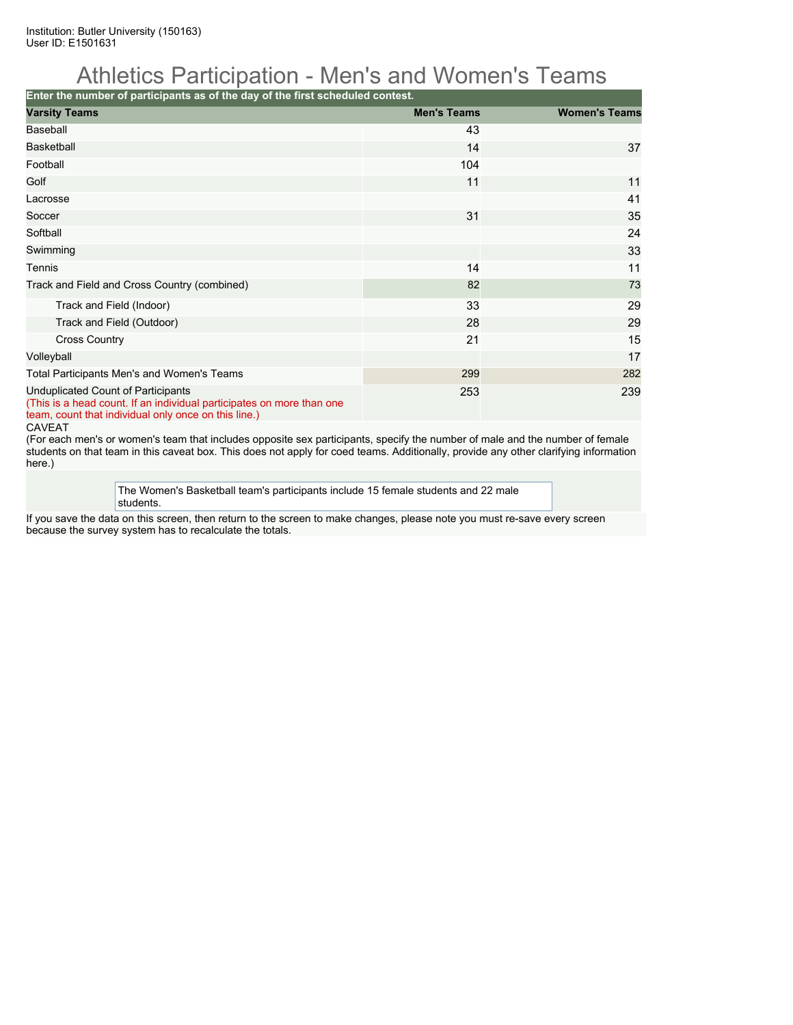## Athletics Participation - Men's and Women's Teams

**Enter the number of participants as of the day of the first scheduled contest.**

| <b>Varsity Teams</b>                                                                                                                                                | <b>Men's Teams</b> | <b>Women's Teams</b> |
|---------------------------------------------------------------------------------------------------------------------------------------------------------------------|--------------------|----------------------|
| Baseball                                                                                                                                                            | 43                 |                      |
| <b>Basketball</b>                                                                                                                                                   | 14                 | 37                   |
| Football                                                                                                                                                            | 104                |                      |
| Golf                                                                                                                                                                | 11                 | 11                   |
| Lacrosse                                                                                                                                                            |                    | 41                   |
| Soccer                                                                                                                                                              | 31                 | 35                   |
| Softball                                                                                                                                                            |                    | 24                   |
| Swimming                                                                                                                                                            |                    | 33                   |
| Tennis                                                                                                                                                              | 14                 | 11                   |
| Track and Field and Cross Country (combined)                                                                                                                        | 82                 | 73                   |
| Track and Field (Indoor)                                                                                                                                            | 33                 | 29                   |
| Track and Field (Outdoor)                                                                                                                                           | 28                 | 29                   |
| <b>Cross Country</b>                                                                                                                                                | 21                 | 15                   |
| Volleyball                                                                                                                                                          |                    | 17                   |
| Total Participants Men's and Women's Teams                                                                                                                          | 299                | 282                  |
| Unduplicated Count of Participants<br>(This is a head count. If an individual participates on more than one<br>team, count that individual only once on this line.) | 253                | 239                  |

CAVEAT

(For each men's or women's team that includes opposite sex participants, specify the number of male and the number of female students on that team in this caveat box. This does not apply for coed teams. Additionally, provide any other clarifying information here.)

> The Women's Basketball team's participants include 15 female students and 22 male students.

If you save the data on this screen, then return to the screen to make changes, please note you must re-save every screen because the survey system has to recalculate the totals.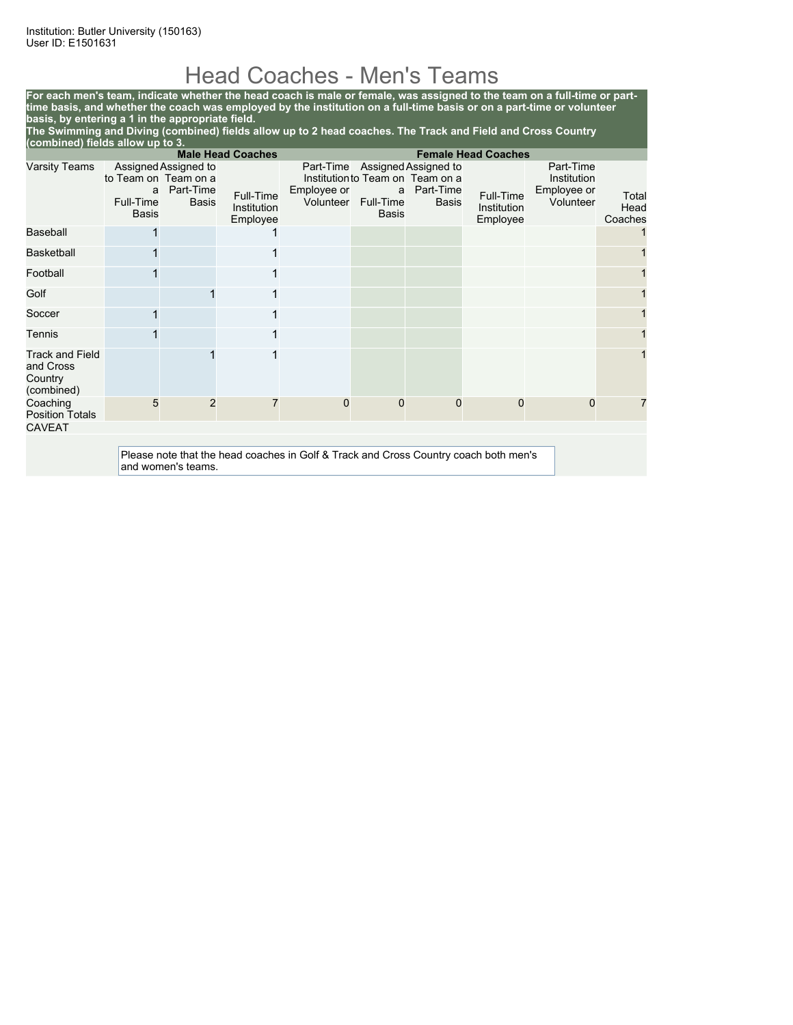## Head Coaches - Men's Teams

**For each men's team, indicate whether the head coach is male or female, was assigned to the team on a full-time or parttime basis, and whether the coach was employed by the institution on a full-time basis or on a part-time or volunteer basis, by entering a 1 in the appropriate field. The Swimming and Diving (combined) fields allow up to 2 head coaches. The Track and Field and Cross Country**

| (combined) fields allow up to 3.                             |                                                                                      |                                                                    |                                      |                                       |                                       |                                                                                |                                      |                                                      |                          |
|--------------------------------------------------------------|--------------------------------------------------------------------------------------|--------------------------------------------------------------------|--------------------------------------|---------------------------------------|---------------------------------------|--------------------------------------------------------------------------------|--------------------------------------|------------------------------------------------------|--------------------------|
|                                                              | <b>Male Head Coaches</b><br><b>Female Head Coaches</b>                               |                                                                    |                                      |                                       |                                       |                                                                                |                                      |                                                      |                          |
| Varsity Teams                                                | a<br>Full-Time<br><b>Basis</b>                                                       | Assigned Assigned to<br>to Team on Team on a<br>Part-Time<br>Basis | Full-Time<br>Institution<br>Employee | Part-Time<br>Employee or<br>Volunteer | a<br><b>Full-Time</b><br><b>Basis</b> | Assigned Assigned to<br>Institution to Team on Team on a<br>Part-Time<br>Basis | Full-Time<br>Institution<br>Employee | Part-Time<br>Institution<br>Employee or<br>Volunteer | Total<br>Head<br>Coaches |
| Baseball                                                     |                                                                                      |                                                                    |                                      |                                       |                                       |                                                                                |                                      |                                                      |                          |
| <b>Basketball</b>                                            |                                                                                      |                                                                    |                                      |                                       |                                       |                                                                                |                                      |                                                      |                          |
| Football                                                     |                                                                                      |                                                                    |                                      |                                       |                                       |                                                                                |                                      |                                                      |                          |
| Golf                                                         |                                                                                      |                                                                    |                                      |                                       |                                       |                                                                                |                                      |                                                      |                          |
| Soccer                                                       |                                                                                      |                                                                    |                                      |                                       |                                       |                                                                                |                                      |                                                      |                          |
| <b>Tennis</b>                                                |                                                                                      |                                                                    |                                      |                                       |                                       |                                                                                |                                      |                                                      |                          |
| <b>Track and Field</b><br>and Cross<br>Country<br>(combined) |                                                                                      |                                                                    |                                      |                                       |                                       |                                                                                |                                      |                                                      |                          |
| Coaching<br><b>Position Totals</b>                           | 5                                                                                    | $\overline{2}$                                                     |                                      | $\mathbf{0}$                          | 0                                     | 0                                                                              | $\Omega$                             | 0                                                    |                          |
| <b>CAVEAT</b>                                                |                                                                                      |                                                                    |                                      |                                       |                                       |                                                                                |                                      |                                                      |                          |
|                                                              | Please note that the head coaches in Golf & Track and Cross Country coach both men's |                                                                    |                                      |                                       |                                       |                                                                                |                                      |                                                      |                          |

and women's teams.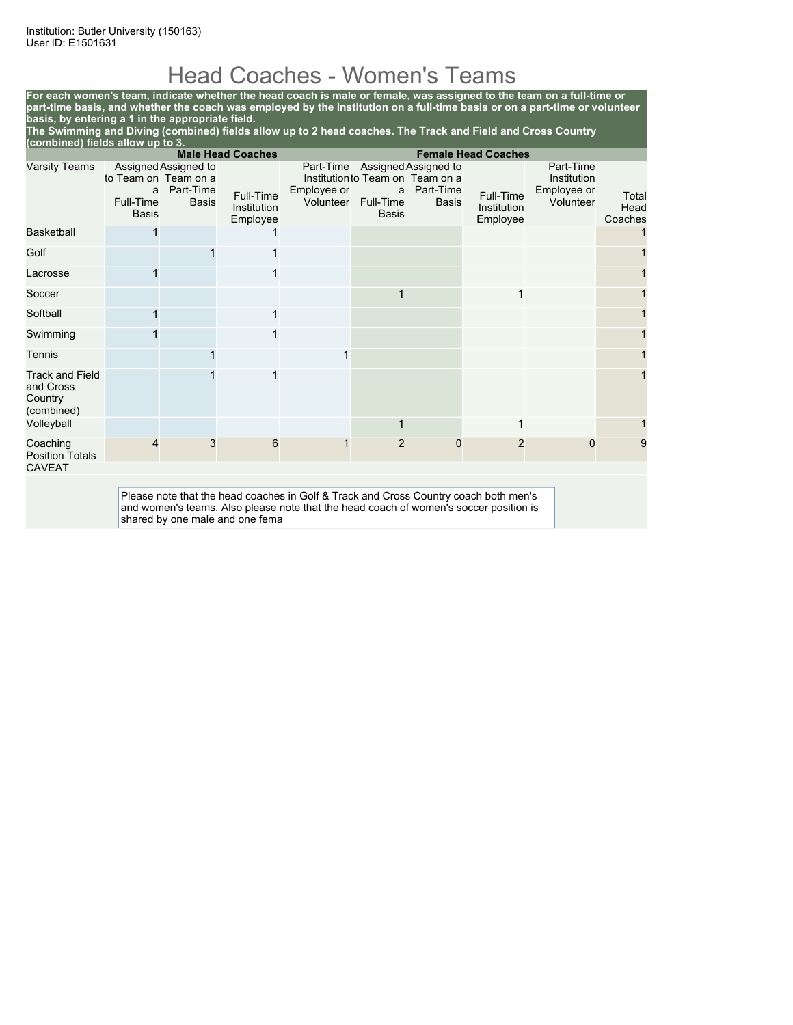# Head Coaches - Women's Teams

**For each women's team, indicate whether the head coach is male or female, was assigned to the team on a full-time or part-time basis, and whether the coach was employed by the institution on a full-time basis or on a part-time or volunteer basis, by entering a 1 in the appropriate field.**

**The Swimming and Diving (combined) fields allow up to 2 head coaches. The Track and Field and Cross Country (combined) fields allow up to 3.**

| <b>Male Head Coaches</b><br><b>Female Head Coaches</b>       |                                                        |                                                   |                                      |                                                                                                                                                                               |                                |                                                                                       |                                      |                                                      |                          |
|--------------------------------------------------------------|--------------------------------------------------------|---------------------------------------------------|--------------------------------------|-------------------------------------------------------------------------------------------------------------------------------------------------------------------------------|--------------------------------|---------------------------------------------------------------------------------------|--------------------------------------|------------------------------------------------------|--------------------------|
| <b>Varsity Teams</b>                                         | to Team on Team on a<br>a<br>Full-Time<br><b>Basis</b> | Assigned Assigned to<br>Part-Time<br><b>Basis</b> | Full-Time<br>Institution<br>Employee | Part-Time<br>Employee or<br>Volunteer                                                                                                                                         | a<br>Full-Time<br><b>Basis</b> | Assigned Assigned to<br>Institution to Team on Team on a<br>Part-Time<br><b>Basis</b> | Full-Time<br>Institution<br>Employee | Part-Time<br>Institution<br>Employee or<br>Volunteer | Total<br>Head<br>Coaches |
| <b>Basketball</b>                                            |                                                        |                                                   |                                      |                                                                                                                                                                               |                                |                                                                                       |                                      |                                                      |                          |
| Golf                                                         |                                                        |                                                   |                                      |                                                                                                                                                                               |                                |                                                                                       |                                      |                                                      |                          |
| Lacrosse                                                     |                                                        |                                                   |                                      |                                                                                                                                                                               |                                |                                                                                       |                                      |                                                      |                          |
| Soccer                                                       |                                                        |                                                   |                                      |                                                                                                                                                                               |                                |                                                                                       |                                      |                                                      |                          |
| Softball                                                     |                                                        |                                                   | 1                                    |                                                                                                                                                                               |                                |                                                                                       |                                      |                                                      |                          |
| Swimming                                                     |                                                        |                                                   |                                      |                                                                                                                                                                               |                                |                                                                                       |                                      |                                                      |                          |
| Tennis                                                       |                                                        |                                                   |                                      | 1                                                                                                                                                                             |                                |                                                                                       |                                      |                                                      |                          |
| <b>Track and Field</b><br>and Cross<br>Country<br>(combined) |                                                        |                                                   |                                      |                                                                                                                                                                               |                                |                                                                                       |                                      |                                                      |                          |
| Volleyball                                                   |                                                        |                                                   |                                      |                                                                                                                                                                               |                                |                                                                                       |                                      |                                                      |                          |
| Coaching<br><b>Position Totals</b>                           |                                                        | 3                                                 | 6                                    |                                                                                                                                                                               | 2                              | 0                                                                                     | 2                                    | 0                                                    | 9                        |
| <b>CAVEAT</b>                                                |                                                        |                                                   |                                      |                                                                                                                                                                               |                                |                                                                                       |                                      |                                                      |                          |
|                                                              |                                                        |                                                   | shared by one male and one fema      | Please note that the head coaches in Golf & Track and Cross Country coach both men's<br>and women's teams. Also please note that the head coach of women's soccer position is |                                |                                                                                       |                                      |                                                      |                          |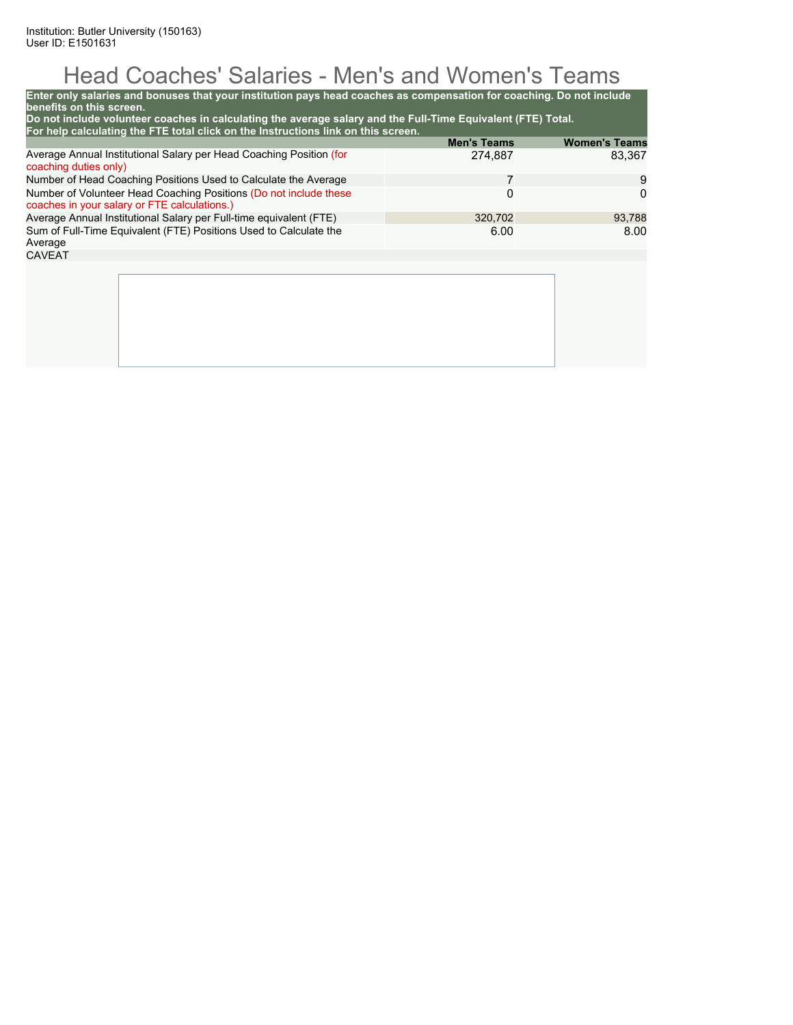# Head Coaches' Salaries - Men's and Women's Teams

| Enter only salaries and bonuses that your institution pays head coaches as compensation for coaching. Do not include<br>benefits on this screen.<br>Do not include volunteer coaches in calculating the average salary and the Full-Time Equivalent (FTE) Total. |                    |                      |
|------------------------------------------------------------------------------------------------------------------------------------------------------------------------------------------------------------------------------------------------------------------|--------------------|----------------------|
| For help calculating the FTE total click on the Instructions link on this screen.                                                                                                                                                                                |                    |                      |
|                                                                                                                                                                                                                                                                  | <b>Men's Teams</b> | <b>Women's Teams</b> |
| Average Annual Institutional Salary per Head Coaching Position (for<br>coaching duties only)                                                                                                                                                                     | 274.887            | 83.367               |
| Number of Head Coaching Positions Used to Calculate the Average                                                                                                                                                                                                  | 7                  | 9                    |
| Number of Volunteer Head Coaching Positions (Do not include these<br>coaches in your salary or FTE calculations.)                                                                                                                                                | 0                  |                      |
| Average Annual Institutional Salary per Full-time equivalent (FTE)                                                                                                                                                                                               | 93,788             |                      |
| Sum of Full-Time Equivalent (FTE) Positions Used to Calculate the<br>Average                                                                                                                                                                                     | 6.00               | 8.00                 |
| <b>CAVEAT</b>                                                                                                                                                                                                                                                    |                    |                      |
|                                                                                                                                                                                                                                                                  |                    |                      |
|                                                                                                                                                                                                                                                                  |                    |                      |
|                                                                                                                                                                                                                                                                  |                    |                      |
|                                                                                                                                                                                                                                                                  |                    |                      |
|                                                                                                                                                                                                                                                                  |                    |                      |
|                                                                                                                                                                                                                                                                  |                    |                      |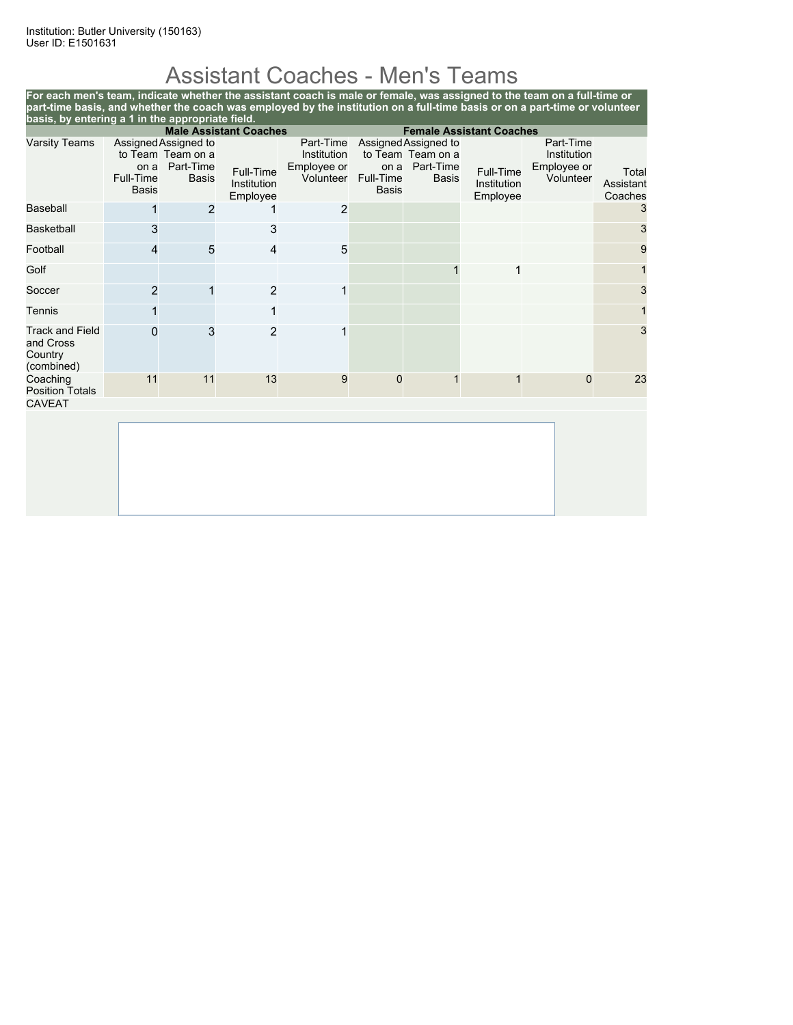# Assistant Coaches - Men's Teams

**For each men's team, indicate whether the assistant coach is male or female, was assigned to the team on a full-time or part-time basis, and whether the coach was employed by the institution on a full-time basis or on a part-time or volunteer basis, by entering a 1 in the appropriate field. Male Assistant Coaches Female Assistant Coaches**

| <b>Varsity Teams</b>                                         | on a<br>Full-Time<br><b>Basis</b> | Assigned Assigned to<br>to Team Team on a<br>Part-Time<br><b>Basis</b> | Full-Time<br>Institution<br>Employee | Part-Time<br>Institution<br>Employee or<br>Volunteer | on a<br>Full-Time<br><b>Basis</b> | Assigned Assigned to<br>to Team Team on a<br>Part-Time<br><b>Basis</b> | Full-Time<br><b>Institution</b><br>Employee | Part-Time<br>Institution<br>Employee or<br>Volunteer | Total<br>Assistant<br>Coaches |
|--------------------------------------------------------------|-----------------------------------|------------------------------------------------------------------------|--------------------------------------|------------------------------------------------------|-----------------------------------|------------------------------------------------------------------------|---------------------------------------------|------------------------------------------------------|-------------------------------|
| <b>Baseball</b>                                              |                                   | 2                                                                      |                                      | $\overline{2}$                                       |                                   |                                                                        |                                             |                                                      | 3                             |
| <b>Basketball</b>                                            | 3                                 |                                                                        | 3                                    |                                                      |                                   |                                                                        |                                             |                                                      | 3                             |
| Football                                                     | 4                                 | 5                                                                      | $\overline{4}$                       | 5                                                    |                                   |                                                                        |                                             |                                                      | 9                             |
| Golf                                                         |                                   |                                                                        |                                      |                                                      |                                   |                                                                        | 1                                           |                                                      |                               |
| Soccer                                                       | 2                                 |                                                                        | $\overline{c}$                       | 1                                                    |                                   |                                                                        |                                             |                                                      | 3                             |
| Tennis                                                       |                                   |                                                                        |                                      |                                                      |                                   |                                                                        |                                             |                                                      |                               |
| <b>Track and Field</b><br>and Cross<br>Country<br>(combined) | $\Omega$                          | 3                                                                      | $\overline{2}$                       |                                                      |                                   |                                                                        |                                             |                                                      | 3                             |
| Coaching<br><b>Position Totals</b>                           | 11                                | 11                                                                     | 13                                   | 9                                                    | $\mathbf{0}$                      |                                                                        |                                             | $\Omega$                                             | 23                            |
| <b>CAVEAT</b>                                                |                                   |                                                                        |                                      |                                                      |                                   |                                                                        |                                             |                                                      |                               |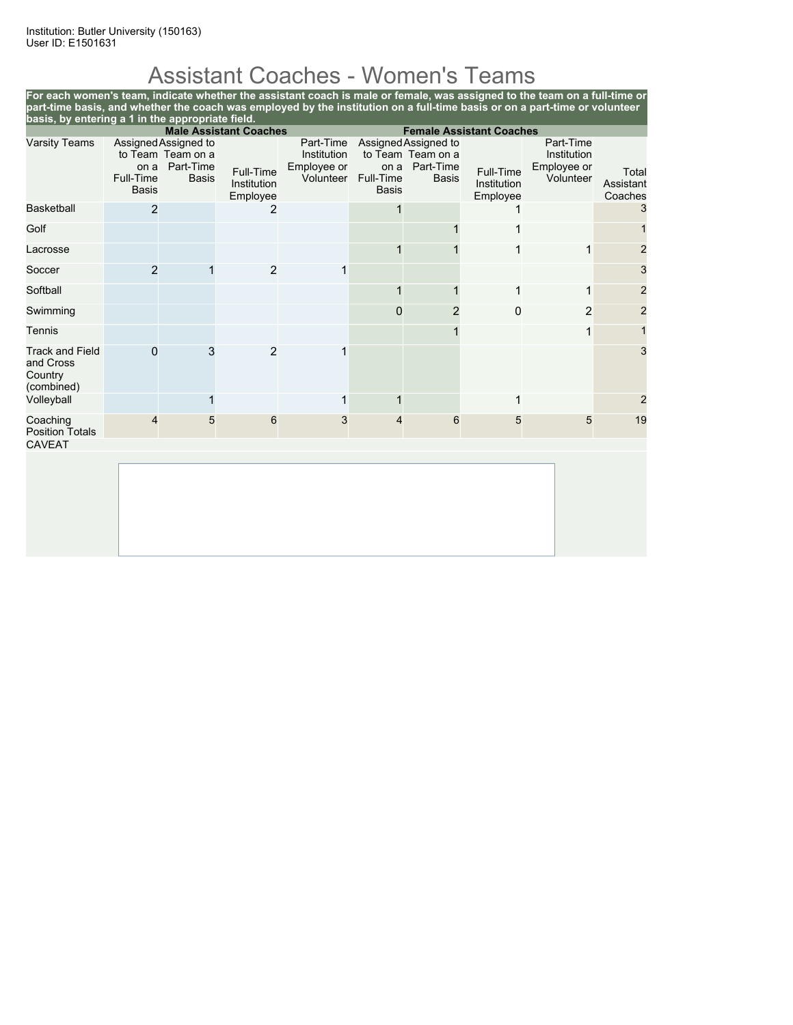# Assistant Coaches - Women's Teams

**For each women's team, indicate whether the assistant coach is male or female, was assigned to the team on a full-time or part-time basis, and whether the coach was employed by the institution on a full-time basis or on a part-time or volunteer basis, by entering a 1 in the appropriate field.**

|                                                              |                                   |                                                                        | <b>Male Assistant Coaches</b>        |                                                      |                                   |                                                                        | <b>Female Assistant Coaches</b>      |                                                      |                               |
|--------------------------------------------------------------|-----------------------------------|------------------------------------------------------------------------|--------------------------------------|------------------------------------------------------|-----------------------------------|------------------------------------------------------------------------|--------------------------------------|------------------------------------------------------|-------------------------------|
| <b>Varsity Teams</b>                                         | on a<br>Full-Time<br><b>Basis</b> | Assigned Assigned to<br>to Team Team on a<br>Part-Time<br><b>Basis</b> | Full-Time<br>Institution<br>Employee | Part-Time<br>Institution<br>Employee or<br>Volunteer | on a<br>Full-Time<br><b>Basis</b> | Assigned Assigned to<br>to Team Team on a<br>Part-Time<br><b>Basis</b> | Full-Time<br>Institution<br>Employee | Part-Time<br>Institution<br>Employee or<br>Volunteer | Total<br>Assistant<br>Coaches |
| <b>Basketball</b>                                            | 2                                 |                                                                        | 2                                    |                                                      |                                   |                                                                        |                                      |                                                      | 3                             |
| Golf                                                         |                                   |                                                                        |                                      |                                                      |                                   |                                                                        |                                      |                                                      |                               |
| Lacrosse                                                     |                                   |                                                                        |                                      |                                                      |                                   |                                                                        |                                      | 1                                                    | $\overline{2}$                |
| Soccer                                                       | $\overline{2}$                    |                                                                        | $\overline{2}$                       |                                                      |                                   |                                                                        |                                      |                                                      | 3                             |
| Softball                                                     |                                   |                                                                        |                                      |                                                      |                                   |                                                                        |                                      | 1                                                    | $\overline{2}$                |
| Swimming                                                     |                                   |                                                                        |                                      |                                                      | $\mathbf{0}$                      | $\overline{2}$                                                         | 0                                    | 2                                                    | $\overline{c}$                |
| Tennis                                                       |                                   |                                                                        |                                      |                                                      |                                   |                                                                        |                                      | 1                                                    | $\mathbf{1}$                  |
| <b>Track and Field</b><br>and Cross<br>Country<br>(combined) | $\mathbf{0}$                      | 3                                                                      | 2                                    |                                                      |                                   |                                                                        |                                      |                                                      | 3                             |
| Volleyball                                                   |                                   | 1                                                                      |                                      | $\mathbf{1}$                                         |                                   |                                                                        |                                      |                                                      | $\overline{2}$                |
| Coaching<br><b>Position Totals</b><br><b>CAVEAT</b>          | 4                                 | 5                                                                      | 6                                    | 3                                                    | 4                                 | 6                                                                      | 5                                    | 5                                                    | 19                            |
|                                                              |                                   |                                                                        |                                      |                                                      |                                   |                                                                        |                                      |                                                      |                               |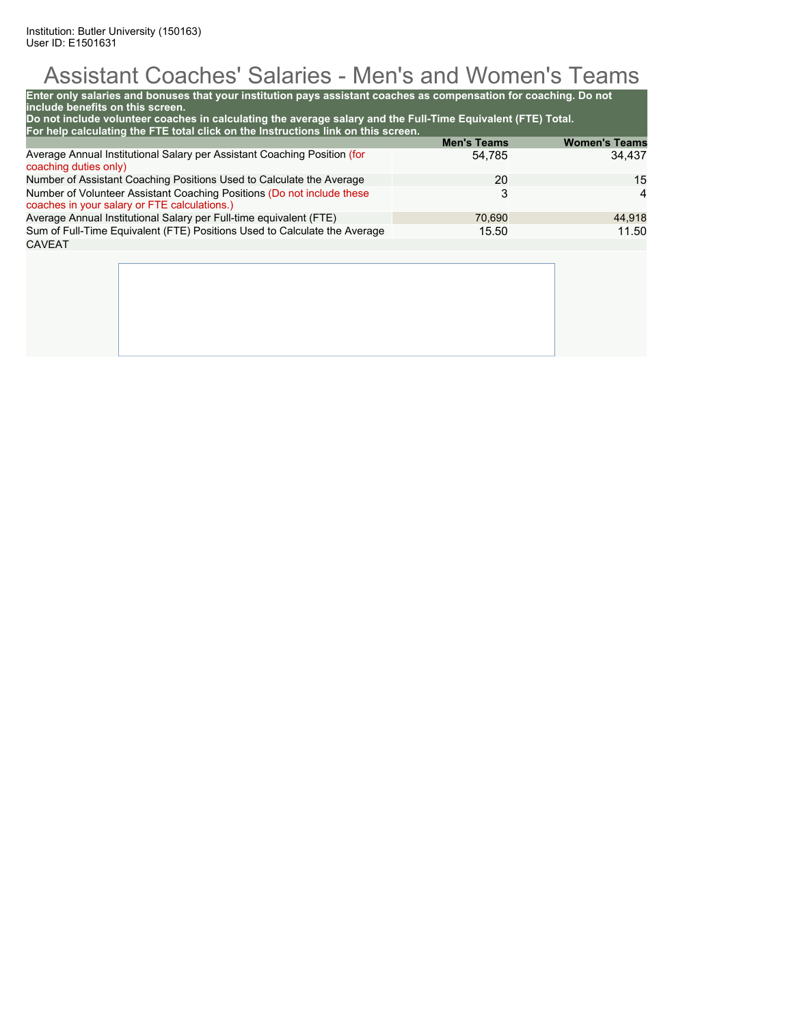# Assistant Coaches' Salaries - Men's and Women's Teams

| Enter only salaries and bonuses that your institution pays assistant coaches as compensation for coaching. Do not<br>include benefits on this screen.<br>Do not include volunteer coaches in calculating the average salary and the Full-Time Equivalent (FTE) Total. |                    |                      |
|-----------------------------------------------------------------------------------------------------------------------------------------------------------------------------------------------------------------------------------------------------------------------|--------------------|----------------------|
| For help calculating the FTE total click on the Instructions link on this screen.                                                                                                                                                                                     | <b>Men's Teams</b> | <b>Women's Teams</b> |
| Average Annual Institutional Salary per Assistant Coaching Position (for<br>coaching duties only)                                                                                                                                                                     | 54,785             | 34,437               |
| Number of Assistant Coaching Positions Used to Calculate the Average                                                                                                                                                                                                  | 20                 | 15                   |
| Number of Volunteer Assistant Coaching Positions (Do not include these<br>coaches in your salary or FTE calculations.)                                                                                                                                                | 3                  | 4                    |
| Average Annual Institutional Salary per Full-time equivalent (FTE)                                                                                                                                                                                                    | 44,918             |                      |
| Sum of Full-Time Equivalent (FTE) Positions Used to Calculate the Average                                                                                                                                                                                             | 15.50              | 11.50                |
| <b>CAVEAT</b>                                                                                                                                                                                                                                                         |                    |                      |
|                                                                                                                                                                                                                                                                       |                    |                      |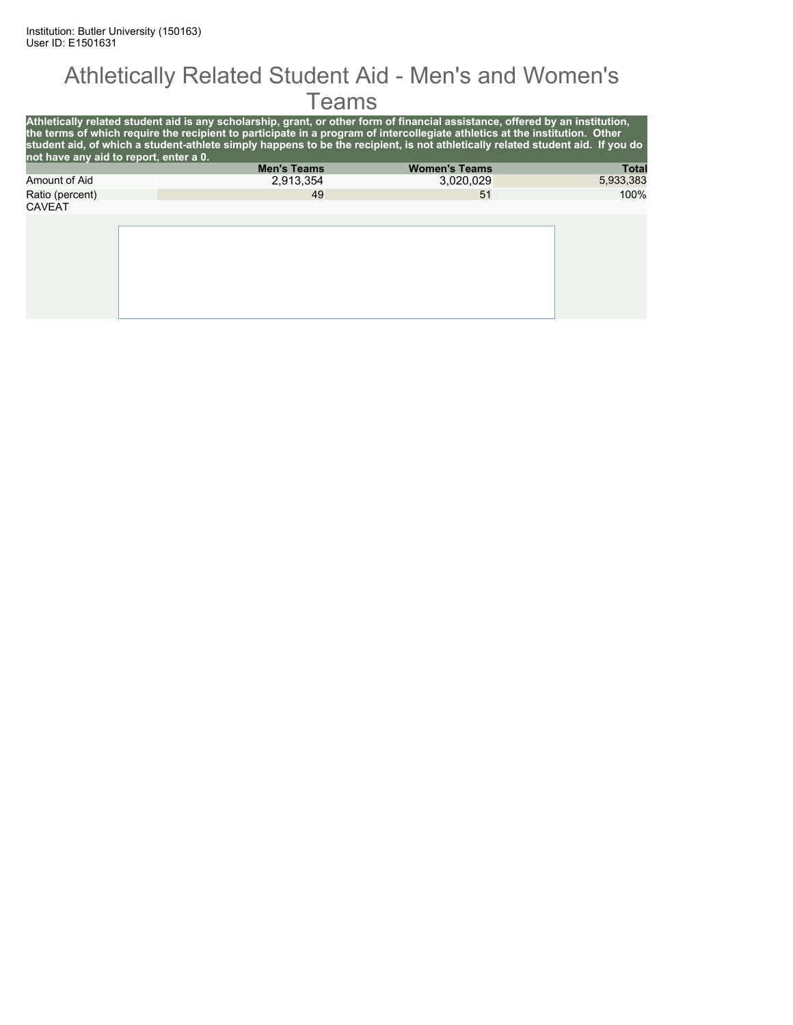#### Athletically Related Student Aid - Men's and Women's Teams

| not have any aid to report, enter a 0. | Athletically related student aid is any scholarship, grant, or other form of financial assistance, offered by an institution,<br>the terms of which require the recipient to participate in a program of intercollegiate athletics at the institution. Other<br>student aid, of which a student-athlete simply happens to be the recipient, is not athletically related student aid. If you do |                      |              |
|----------------------------------------|------------------------------------------------------------------------------------------------------------------------------------------------------------------------------------------------------------------------------------------------------------------------------------------------------------------------------------------------------------------------------------------------|----------------------|--------------|
|                                        | <b>Men's Teams</b>                                                                                                                                                                                                                                                                                                                                                                             | <b>Women's Teams</b> | <b>Total</b> |
| Amount of Aid                          | 2.913.354                                                                                                                                                                                                                                                                                                                                                                                      | 3.020.029            | 5,933,383    |
| Ratio (percent)                        | 49                                                                                                                                                                                                                                                                                                                                                                                             | 51                   | 100%         |
| <b>CAVEAT</b>                          |                                                                                                                                                                                                                                                                                                                                                                                                |                      |              |
|                                        |                                                                                                                                                                                                                                                                                                                                                                                                |                      |              |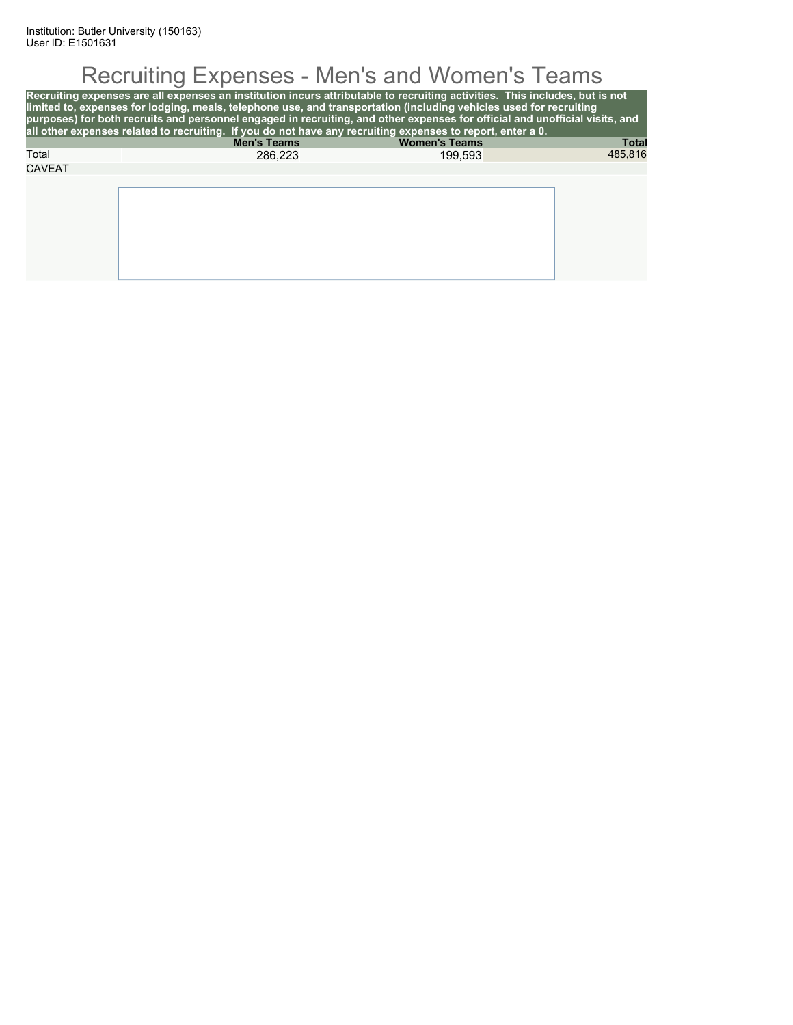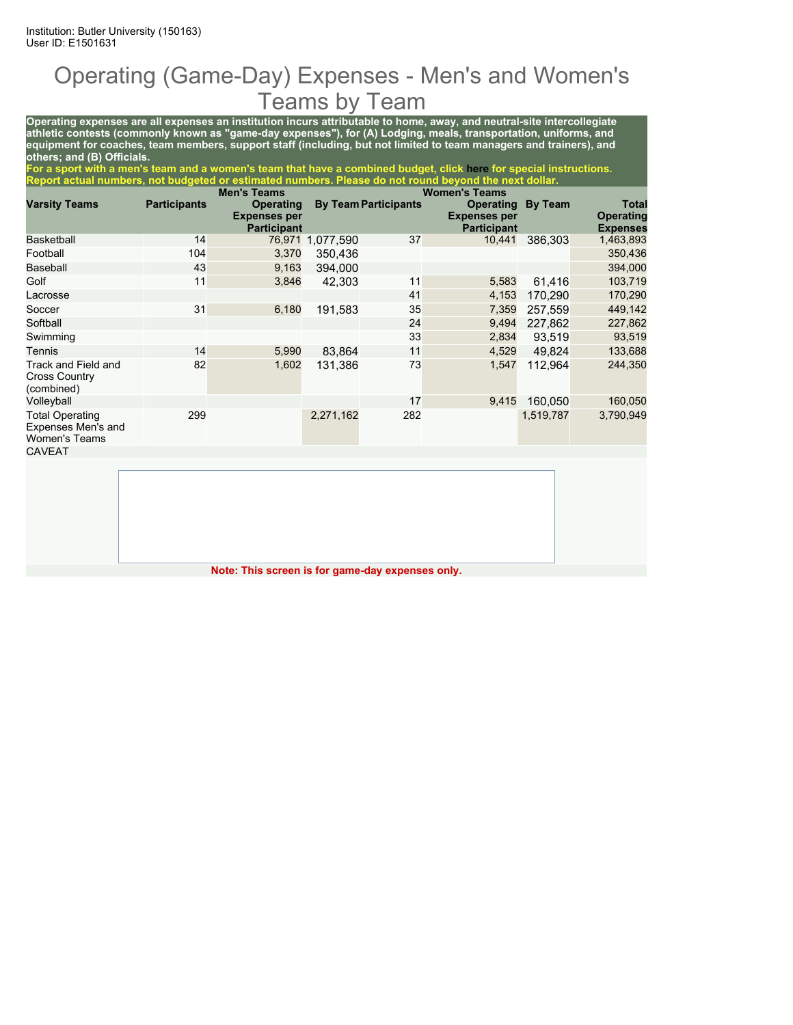### Operating (Game-Day) Expenses - Men's and Women's Teams by Team

**Operating expenses are all expenses an institution incurs attributable to home, away, and neutral-site intercollegiate athletic contests (commonly known as "game-day expenses"), for (A) Lodging, meals, transportation, uniforms, and equipment for coaches, team members, support staff (including, but not limited to team managers and trainers), and others; and (B) Officials.**

**For a sport with a men's team and a women's team that have a combined budget, click here for special instructions. Report actual numbers, not budgeted or estimated numbers. Please do not round beyond the next dollar.**

|                                                                      |                     | <b>Men's Teams</b>                                            |           |                             | <b>Women's Teams</b>                                          |                |                                                     |
|----------------------------------------------------------------------|---------------------|---------------------------------------------------------------|-----------|-----------------------------|---------------------------------------------------------------|----------------|-----------------------------------------------------|
| <b>Varsity Teams</b>                                                 | <b>Participants</b> | <b>Operating</b><br><b>Expenses per</b><br><b>Participant</b> |           | <b>By Team Participants</b> | <b>Operating</b><br><b>Expenses per</b><br><b>Participant</b> | <b>By Team</b> | <b>Total</b><br><b>Operating</b><br><b>Expenses</b> |
| <b>Basketball</b>                                                    | 14                  | 76,971                                                        | 1,077,590 | 37                          | 10,441                                                        | 386,303        | 1,463,893                                           |
| Football                                                             | 104                 | 3,370                                                         | 350.436   |                             |                                                               |                | 350,436                                             |
| Baseball                                                             | 43                  | 9,163                                                         | 394.000   |                             |                                                               |                | 394,000                                             |
| Golf                                                                 | 11                  | 3,846                                                         | 42,303    | 11                          | 5,583                                                         | 61.416         | 103,719                                             |
| Lacrosse                                                             |                     |                                                               |           | 41                          | 4,153                                                         | 170,290        | 170,290                                             |
| Soccer                                                               | 31                  | 6,180                                                         | 191,583   | 35                          | 7,359                                                         | 257.559        | 449,142                                             |
| Softball                                                             |                     |                                                               |           | 24                          | 9,494                                                         | 227.862        | 227,862                                             |
| Swimming                                                             |                     |                                                               |           | 33                          | 2,834                                                         | 93.519         | 93,519                                              |
| Tennis                                                               | 14                  | 5,990                                                         | 83,864    | 11                          | 4,529                                                         | 49.824         | 133,688                                             |
| Track and Field and<br><b>Cross Country</b><br>(combined)            | 82                  | 1,602                                                         | 131,386   | 73                          | 1,547                                                         | 112.964        | 244,350                                             |
| Volleyball                                                           |                     |                                                               |           | 17                          | 9,415                                                         | 160.050        | 160,050                                             |
| <b>Total Operating</b><br>Expenses Men's and<br><b>Women's Teams</b> | 299                 |                                                               | 2,271,162 | 282                         |                                                               | 1,519,787      | 3,790,949                                           |
| <b>CAVEAT</b>                                                        |                     |                                                               |           |                             |                                                               |                |                                                     |

**Note: This screen is for game-day expenses only.**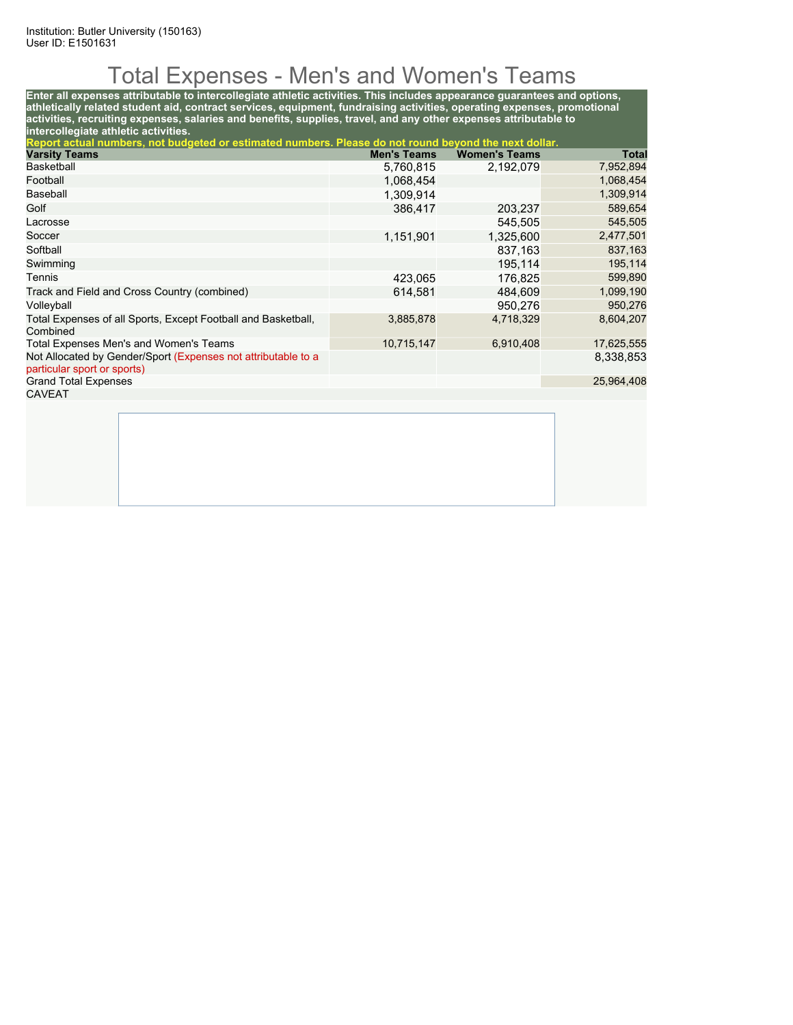# Total Expenses - Men's and Women's Teams

**Enter all expenses attributable to intercollegiate athletic activities. This includes appearance guarantees and options, athletically related student aid, contract services, equipment, fundraising activities, operating expenses, promotional activities, recruiting expenses, salaries and benefits, supplies, travel, and any other expenses attributable to intercollegiate athletic activities.**

| Report actual numbers, not budgeted or estimated numbers. Please do not round beyond the next dollar. |                    |                      |            |
|-------------------------------------------------------------------------------------------------------|--------------------|----------------------|------------|
| <b>Varsity Teams</b>                                                                                  | <b>Men's Teams</b> | <b>Women's Teams</b> | Total      |
| <b>Basketball</b>                                                                                     | 5,760,815          | 2,192,079            | 7,952,894  |
| Football                                                                                              | 1,068,454          |                      | 1,068,454  |
| Baseball                                                                                              | 1.309.914          |                      | 1,309,914  |
| Golf                                                                                                  | 386.417            | 203,237              | 589,654    |
| Lacrosse                                                                                              |                    | 545,505              | 545,505    |
| Soccer                                                                                                | 1,151,901          | 1,325,600            | 2,477,501  |
| Softball                                                                                              |                    | 837,163              | 837,163    |
| Swimming                                                                                              |                    | 195.114              | 195,114    |
| Tennis                                                                                                | 423,065            | 176.825              | 599,890    |
| Track and Field and Cross Country (combined)                                                          | 614.581            | 484.609              | 1,099,190  |
| Volleyball                                                                                            |                    | 950.276              | 950,276    |
| Total Expenses of all Sports, Except Football and Basketball,<br>Combined                             | 3,885,878          | 4,718,329            | 8,604,207  |
| Total Expenses Men's and Women's Teams                                                                | 10,715,147         | 6,910,408            | 17,625,555 |
| Not Allocated by Gender/Sport (Expenses not attributable to a<br>particular sport or sports)          |                    |                      | 8,338,853  |
| <b>Grand Total Expenses</b>                                                                           |                    |                      | 25,964,408 |
| CAVEAT                                                                                                |                    |                      |            |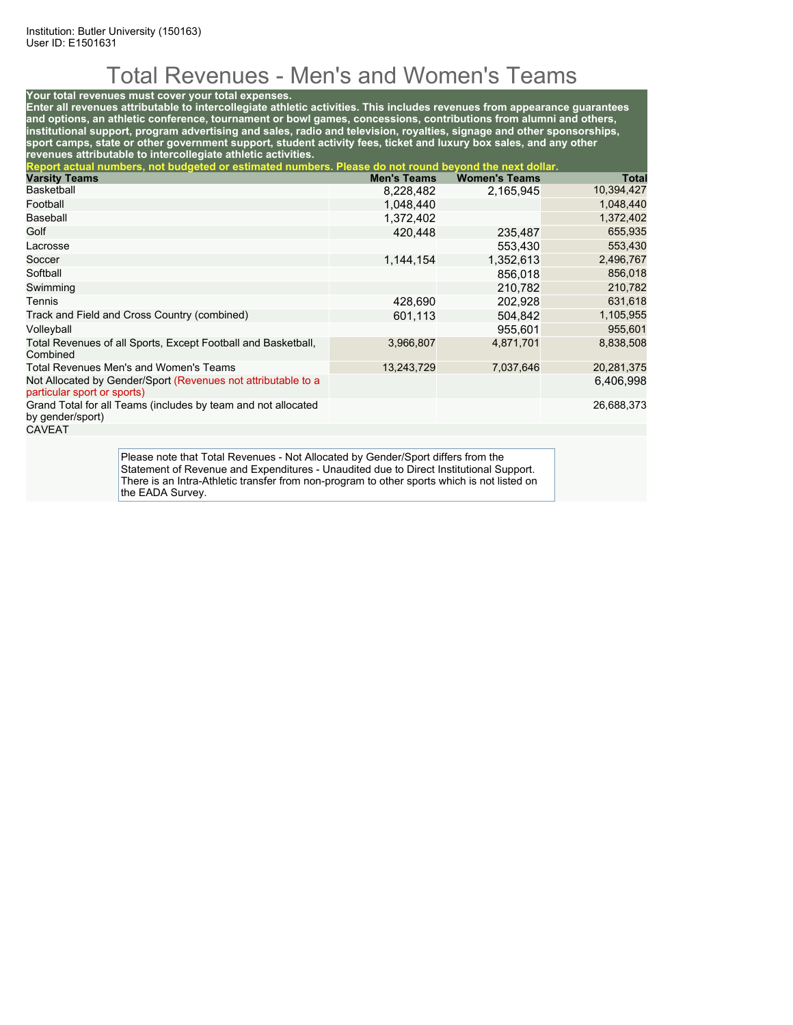# Total Revenues - Men's and Women's Teams

#### **Your total revenues must cover your total expenses.**

**Enter all revenues attributable to intercollegiate athletic activities. This includes revenues from appearance guarantees and options, an athletic conference, tournament or bowl games, concessions, contributions from alumni and others, institutional support, program advertising and sales, radio and television, royalties, signage and other sponsorships, sport camps, state or other government support, student activity fees, ticket and luxury box sales, and any other revenues attributable to intercollegiate athletic activities.**

| Report actual numbers, not budgeted or estimated numbers. Please do not round beyond the next dollar. |                    |                      |            |  |  |  |
|-------------------------------------------------------------------------------------------------------|--------------------|----------------------|------------|--|--|--|
| <b>Varsity Teams</b>                                                                                  | <b>Men's Teams</b> | <b>Women's Teams</b> | Total      |  |  |  |
| <b>Basketball</b>                                                                                     | 8,228,482          | 2,165,945            | 10,394,427 |  |  |  |
| Football                                                                                              | 1,048,440          |                      | 1,048,440  |  |  |  |
| Baseball                                                                                              | 1,372,402          |                      | 1,372,402  |  |  |  |
| Golf                                                                                                  | 420.448            | 235,487              | 655,935    |  |  |  |
| Lacrosse                                                                                              |                    | 553.430              | 553,430    |  |  |  |
| Soccer                                                                                                | 1,144,154          | 1,352,613            | 2,496,767  |  |  |  |
| Softball                                                                                              |                    | 856.018              | 856,018    |  |  |  |
| Swimming                                                                                              |                    | 210.782              | 210,782    |  |  |  |
| Tennis                                                                                                | 428.690            | 202,928              | 631,618    |  |  |  |
| Track and Field and Cross Country (combined)                                                          | 601,113            | 504,842              | 1,105,955  |  |  |  |
| Volleyball                                                                                            |                    | 955.601              | 955,601    |  |  |  |
| Total Revenues of all Sports, Except Football and Basketball,<br>Combined                             | 3,966,807          | 4,871,701            | 8,838,508  |  |  |  |
| Total Revenues Men's and Women's Teams                                                                | 13,243,729         | 7,037,646            | 20,281,375 |  |  |  |
| Not Allocated by Gender/Sport (Revenues not attributable to a<br>particular sport or sports)          |                    |                      | 6,406,998  |  |  |  |
| Grand Total for all Teams (includes by team and not allocated<br>by gender/sport)                     |                    |                      | 26,688,373 |  |  |  |
| <b>CAVEAT</b>                                                                                         |                    |                      |            |  |  |  |
|                                                                                                       |                    |                      |            |  |  |  |

Please note that Total Revenues - Not Allocated by Gender/Sport differs from the Statement of Revenue and Expenditures - Unaudited due to Direct Institutional Support. There is an Intra-Athletic transfer from non-program to other sports which is not listed on the EADA Survey.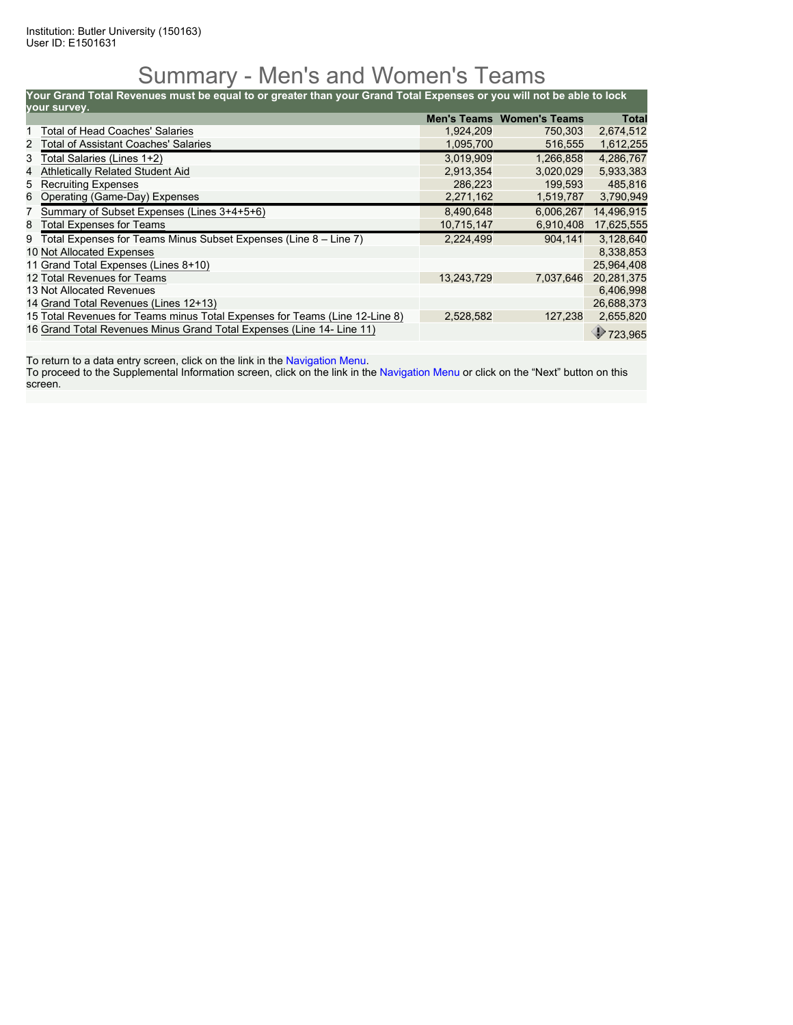### Summary - Men's and Women's Teams

**Your Grand Total Revenues must be equal to or greater than your Grand Total Expenses or you will not be able to lock**

| your survey. |                                                                             |            |                                  |            |  |  |  |
|--------------|-----------------------------------------------------------------------------|------------|----------------------------------|------------|--|--|--|
|              |                                                                             |            | <b>Men's Teams Women's Teams</b> | Total      |  |  |  |
|              | <b>Total of Head Coaches' Salaries</b>                                      | 1,924,209  | 750,303                          | 2,674,512  |  |  |  |
|              | 2 Total of Assistant Coaches' Salaries                                      | 1,095,700  | 516,555                          | 1,612,255  |  |  |  |
| 3            | Total Salaries (Lines 1+2)                                                  | 3.019.909  | 1.266.858                        | 4.286.767  |  |  |  |
| 4            | <b>Athletically Related Student Aid</b>                                     | 2,913,354  | 3,020,029                        | 5,933,383  |  |  |  |
| 5            | <b>Recruiting Expenses</b>                                                  | 286,223    | 199,593                          | 485,816    |  |  |  |
| 6            | Operating (Game-Day) Expenses                                               | 2,271,162  | 1,519,787                        | 3,790,949  |  |  |  |
|              | 7 Summary of Subset Expenses (Lines 3+4+5+6)                                | 8,490,648  | 6.006.267                        | 14,496,915 |  |  |  |
| 8            | <b>Total Expenses for Teams</b>                                             | 10,715,147 | 6,910,408                        | 17,625,555 |  |  |  |
| 9            | Total Expenses for Teams Minus Subset Expenses (Line 8 - Line 7)            | 2,224,499  | 904.141                          | 3.128.640  |  |  |  |
|              | 10 Not Allocated Expenses                                                   |            |                                  | 8,338,853  |  |  |  |
|              | 11 Grand Total Expenses (Lines 8+10)                                        |            |                                  | 25,964,408 |  |  |  |
|              | 12 Total Revenues for Teams                                                 | 13,243,729 | 7,037,646                        | 20,281,375 |  |  |  |
|              | 13 Not Allocated Revenues                                                   |            |                                  | 6,406,998  |  |  |  |
|              | 14 Grand Total Revenues (Lines 12+13)                                       |            |                                  | 26,688,373 |  |  |  |
|              | 15 Total Revenues for Teams minus Total Expenses for Teams (Line 12-Line 8) | 2,528,582  | 127,238                          | 2,655,820  |  |  |  |
|              | 16 Grand Total Revenues Minus Grand Total Expenses (Line 14- Line 11)       |            |                                  | 723,965    |  |  |  |

To return to a data entry screen, click on the link in the Navigation Menu.

To proceed to the Supplemental Information screen, click on the link in the Navigation Menu or click on the "Next" button on this screen.